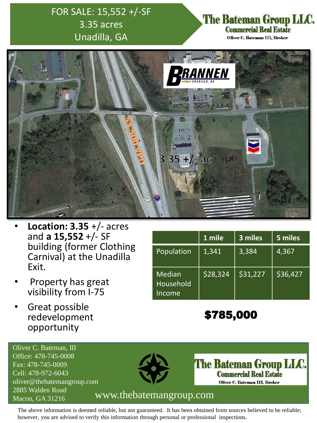# FOR SALE: 15,552 +/-SF 3.35 acres Unadilla, GA

#### The Bateman Group LLC. **Commercial Real Estate**

Oliver C. Bateman III, Broker



- **Location: 3.35** +/- acres and **a 15,552** +/- SF building (former Clothing Carnival) at the Unadilla Exit.
- Property has great visibility from I-75
- Great possible redevelopment opportunity

|                               | 1 mile   | 3 miles  | 5 miles  |
|-------------------------------|----------|----------|----------|
| Population                    | 1,341    | 3,384    | 4,367    |
| Median<br>Household<br>Income | \$28,324 | \$31,227 | \$36,427 |

\$785,000





**The Bateman Group LLC. Commercial Real Estate** Oliver C. Bateman III, Broker

# 2885 walden Road<br>Macon, GA 31216 www.thebatemangroup.com

The above information is deemed reliable, but not guaranteed. It has been obtained from sources believed to be reliable; however, you are advised to verify this information through personal or professional inspections.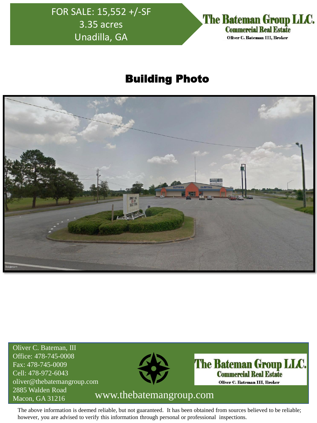FOR SALE: 15,552 +/-SF 3.35 acres Unadilla, GA



### Building Photo



Oliver C. Bateman, III Office: 478-745-0008 Fax: 478-745-0009 Cell: 478-972-6043 oliver@thebatemangroup.com 2885 Walden Road



**The Bateman Group LLC. Commercial Real Estate** Oliver C. Bateman III, Broker

## Macon, GA 31216 www.thebatemangroup.com

The above information is deemed reliable, but not guaranteed. It has been obtained from sources believed to be reliable; however, you are advised to verify this information through personal or professional inspections.